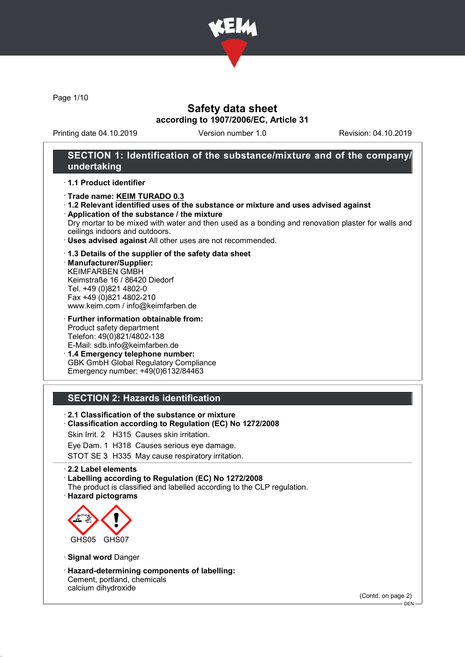

Page 1/10

## Safety data sheet according to 1907/2006/EC, Article 31

Printing date 04.10.2019 Version number 1.0 Revision: 04.10.2019

## SECTION 1: Identification of the substance/mixture and of the company/ undertaking

### · 1.1 Product identifier

- · Trade name: KEIM TURADO 0.3
- · 1.2 Relevant identified uses of the substance or mixture and uses advised against

· Application of the substance / the mixture Dry mortar to be mixed with water and then used as a bonding and renovation plaster for walls and ceilings indoors and outdoors.

· Uses advised against All other uses are not recommended.

### · 1.3 Details of the supplier of the safety data sheet

· Manufacturer/Supplier: KEIMFARBEN GMBH Keimstraße 16 / 86420 Diedorf Tel. +49 (0)821 4802-0 Fax +49 (0)821 4802-210 www.keim.com / info@keimfarben.de

· Further information obtainable from: Product safety department Telefon: 49(0)821/4802-138 E-Mail: sdb.info@keimfarben.de

· 1.4 Emergency telephone number: GBK GmbH Global Regulatory Compliance Emergency number: +49(0)6132/84463

## SECTION 2: Hazards identification

- · 2.1 Classification of the substance or mixture
- · Classification according to Regulation (EC) No 1272/2008
- Skin Irrit. 2 H315 Causes skin irritation.
- Eye Dam. 1 H318 Causes serious eye damage.

STOT SE 3 H335 May cause respiratory irritation.

#### · 2.2 Label elements

· Labelling according to Regulation (EC) No 1272/2008

- The product is classified and labelled according to the CLP regulation.
- · Hazard pictograms



- · Signal word Danger
- · Hazard-determining components of labelling: Cement, portland, chemicals calcium dihydroxide

(Contd. on page 2)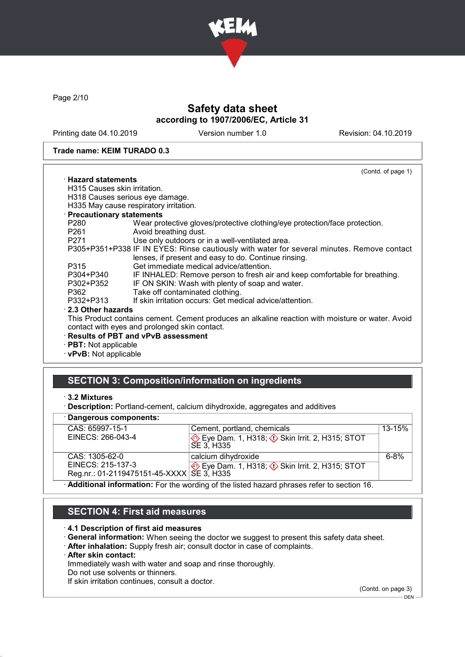

Page 2/10

# Safety data sheet according to 1907/2006/EC, Article 31

Printing date 04.10.2019 Version number 1.0 Revision: 04.10.2019

#### Trade name: KEIM TURADO 0.3

|                                                                                                       | (Contd. of page 1)                                                                               |
|-------------------------------------------------------------------------------------------------------|--------------------------------------------------------------------------------------------------|
| $\cdot$ Hazard statements                                                                             |                                                                                                  |
| H315 Causes skin irritation.                                                                          |                                                                                                  |
|                                                                                                       | H318 Causes serious eye damage.                                                                  |
|                                                                                                       | H335 May cause respiratory irritation.                                                           |
| · Precautionary statements                                                                            |                                                                                                  |
| P280                                                                                                  | Wear protective gloves/protective clothing/eye protection/face protection.                       |
| P261 and the P261 and the P261 and the P261 and the P261 and the P261 and the P261 and the P261 and P | Avoid breathing dust.                                                                            |
| P271 20                                                                                               | Use only outdoors or in a well-ventilated area.                                                  |
|                                                                                                       | P305+P351+P338 IF IN EYES: Rinse cautiously with water for several minutes. Remove contact       |
|                                                                                                       | lenses, if present and easy to do. Continue rinsing.                                             |
| P315                                                                                                  | Get immediate medical advice/attention.                                                          |
| P304+P340                                                                                             | IF INHALED: Remove person to fresh air and keep comfortable for breathing.                       |
| P302+P352                                                                                             | IF ON SKIN: Wash with plenty of soap and water.                                                  |
| P362                                                                                                  | Take off contaminated clothing.                                                                  |
| P332+P313                                                                                             | If skin irritation occurs: Get medical advice/attention.                                         |
| 2.3 Other hazards                                                                                     |                                                                                                  |
|                                                                                                       | This Product contains cement. Cement produces an alkaline reaction with moisture or water. Avoid |
|                                                                                                       | contact with eyes and prolonged skin contact.                                                    |
|                                                                                                       | · Results of PBT and vPvB assessment                                                             |
| · <b>PBT:</b> Not applicable                                                                          |                                                                                                  |
| $\cdot$ vPvB: Not applicable                                                                          |                                                                                                  |
|                                                                                                       |                                                                                                  |

## SECTION 3: Composition/information on ingredients

<sup>·</sup> Description: Portland-cement, calcium dihydroxide, aggregates and additives

|  |  | · Dangerous components: |
|--|--|-------------------------|
|--|--|-------------------------|

| CAS: 65997-15-1                                                                          | Cement, portland, chemicals                                                 | $13 - 15%$ |  |
|------------------------------------------------------------------------------------------|-----------------------------------------------------------------------------|------------|--|
| EINECS: 266-043-4                                                                        | Eye Dam. 1, H318; $\Diamond$ Skin Irrit. 2, H315; STOT<br><b>SE 3. H335</b> |            |  |
|                                                                                          |                                                                             |            |  |
| CAS: 1305-62-0                                                                           | calcium dihydroxide                                                         | $6 - 8%$   |  |
| EINECS: 215-137-3                                                                        | Eye Dam. 1, H318; Skin Irrit. 2, H315; STOT                                 |            |  |
| Reg.nr.: 01-2119475151-45-XXXX SE 3, H335                                                |                                                                             |            |  |
| Additional information: For the wording of the listed hazard phrases refer to section 16 |                                                                             |            |  |

· Additional information: For the wording of the listed hazard phrases refer to section 16.

## SECTION 4: First aid measures

#### · 4.1 Description of first aid measures

- · General information: When seeing the doctor we suggest to present this safety data sheet.
- · After inhalation: Supply fresh air; consult doctor in case of complaints.
- · After skin contact:

Immediately wash with water and soap and rinse thoroughly.

Do not use solvents or thinners.

If skin irritation continues, consult a doctor.

(Contd. on page 3)  $-$  DEN  $-$ 

<sup>·</sup> 3.2 Mixtures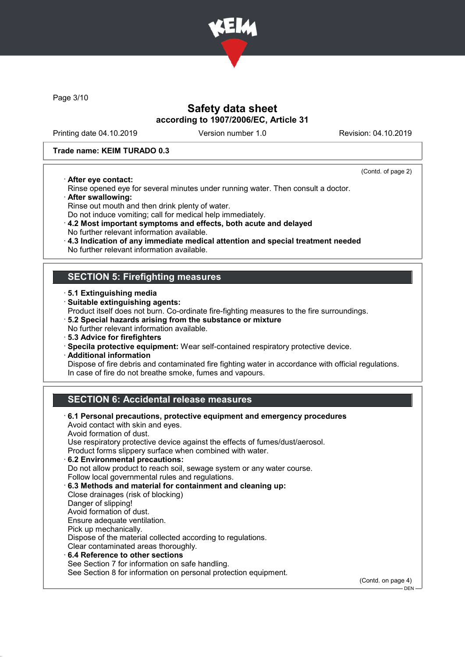

Page 3/10

## Safety data sheet according to 1907/2006/EC, Article 31

Printing date 04.10.2019 Version number 1.0 Revision: 04.10.2019

(Contd. of page 2)

#### Trade name: KEIM TURADO 0.3

· After eye contact:

Rinse opened eye for several minutes under running water. Then consult a doctor.

· After swallowing:

Rinse out mouth and then drink plenty of water.

Do not induce vomiting; call for medical help immediately.

· 4.2 Most important symptoms and effects, both acute and delayed No further relevant information available.

- · 4.3 Indication of any immediate medical attention and special treatment needed
- No further relevant information available.

## SECTION 5: Firefighting measures

- · 5.1 Extinguishing media
- · Suitable extinguishing agents:
- Product itself does not burn. Co-ordinate fire-fighting measures to the fire surroundings.
- · 5.2 Special hazards arising from the substance or mixture
- No further relevant information available.
- · 5.3 Advice for firefighters
- · Specila protective equipment: Wear self-contained respiratory protective device.
- · Additional information

Dispose of fire debris and contaminated fire fighting water in accordance with official regulations. In case of fire do not breathe smoke, fumes and vapours.

## SECTION 6: Accidental release measures

· 6.1 Personal precautions, protective equipment and emergency procedures Avoid contact with skin and eyes. Avoid formation of dust. Use respiratory protective device against the effects of fumes/dust/aerosol. Product forms slippery surface when combined with water. · 6.2 Environmental precautions: Do not allow product to reach soil, sewage system or any water course. Follow local governmental rules and regulations. · 6.3 Methods and material for containment and cleaning up: Close drainages (risk of blocking) Danger of slipping! Avoid formation of dust. Ensure adequate ventilation. Pick up mechanically. Dispose of the material collected according to regulations. Clear contaminated areas thoroughly. 6.4 Reference to other sections See Section 7 for information on safe handling. See Section 8 for information on personal protection equipment. (Contd. on page 4)

 $-$  DEN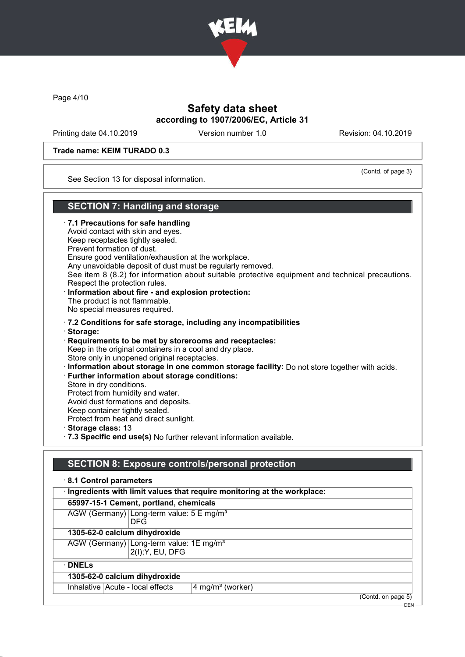

Page 4/10

## Safety data sheet according to 1907/2006/EC, Article 31

Printing date 04.10.2019 Version number 1.0 Revision: 04.10.2019

(Contd. of page 3)

DEN

### Trade name: KEIM TURADO 0.3

See Section 13 for disposal information.

## SECTION 7: Handling and storage

· 7.1 Precautions for safe handling Avoid contact with skin and eyes. Keep receptacles tightly sealed. Prevent formation of dust. Ensure good ventilation/exhaustion at the workplace. Any unavoidable deposit of dust must be regularly removed. See item 8 (8.2) for information about suitable protective equipment and technical precautions. Respect the protection rules. · Information about fire - and explosion protection: The product is not flammable. No special measures required. · 7.2 Conditions for safe storage, including any incompatibilities · Storage: · Requirements to be met by storerooms and receptacles: Keep in the original containers in a cool and dry place. Store only in unopened original receptacles. · Information about storage in one common storage facility: Do not store together with acids. · Further information about storage conditions: Store in dry conditions. Protect from humidity and water. Avoid dust formations and deposits. Keep container tightly sealed. Protect from heat and direct sunlight. · Storage class: 13 · 7.3 Specific end use(s) No further relevant information available.

## SECTION 8: Exposure controls/personal protection

| 8.1 Control parameters                                                    |                    |  |
|---------------------------------------------------------------------------|--------------------|--|
| · Ingredients with limit values that require monitoring at the workplace: |                    |  |
| 65997-15-1 Cement, portland, chemicals                                    |                    |  |
| AGW (Germany) Long-term value: 5 E mg/m <sup>3</sup><br><b>DFG</b>        |                    |  |
| 1305-62-0 calcium dihydroxide                                             |                    |  |
| AGW (Germany) Long-term value: 1E mg/m <sup>3</sup><br>2(I); Y, EU, DFG   |                    |  |
| $\cdot$ DNELs                                                             |                    |  |
| 1305-62-0 calcium dihydroxide                                             |                    |  |
| Inhalative   Acute - local effects<br>4 mg/m <sup>3</sup> (worker)        |                    |  |
|                                                                           | (Contd. on page 5) |  |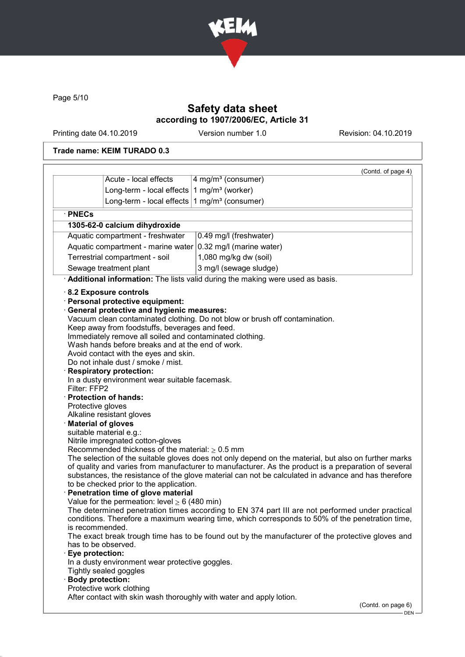

Page 5/10

# Safety data sheet according to 1907/2006/EC, Article 31

Printing date 04.10.2019 Version number 1.0 Revision: 04.10.2019

## Trade name: KEIM TURADO 0.3

| 4 mg/m <sup>3</sup> (consumer)<br>Long-term - local effects $1$ mg/m <sup>3</sup> (worker)<br>Long-term - local effects $1$ mg/m <sup>3</sup> (consumer)<br>· PNECs<br>1305-62-0 calcium dihydroxide<br>Aquatic compartment - freshwater<br>0.49 mg/l (freshwater)<br>Aquatic compartment - marine water $ 0.32 \text{ mg/II}$ (marine water)<br>1,080 mg/kg dw (soil)<br>Terrestrial compartment - soil<br>Sewage treatment plant<br>3 mg/l (sewage sludge)<br>Additional information: The lists valid during the making were used as basis.<br>8.2 Exposure controls<br>Personal protective equipment:<br><b>General protective and hygienic measures:</b><br>Vacuum clean contaminated clothing. Do not blow or brush off contamination.<br>Keep away from foodstuffs, beverages and feed.<br>Immediately remove all soiled and contaminated clothing.<br>Wash hands before breaks and at the end of work.<br>Avoid contact with the eyes and skin.<br>Do not inhale dust / smoke / mist.<br><b>Respiratory protection:</b><br>In a dusty environment wear suitable facemask.<br>Filter: FFP2<br><b>Protection of hands:</b><br>Protective gloves<br>Alkaline resistant gloves<br><b>Material of gloves</b><br>suitable material e.g.:<br>Nitrile impregnated cotton-gloves<br>Recommended thickness of the material: $\geq 0.5$ mm<br>The selection of the suitable gloves does not only depend on the material, but also on further marks<br>of quality and varies from manufacturer to manufacturer. As the product is a preparation of several<br>substances, the resistance of the glove material can not be calculated in advance and has therefore<br>to be checked prior to the application.<br>Penetration time of glove material<br>Value for the permeation: level $\geq 6$ (480 min)<br>The determined penetration times according to EN 374 part III are not performed under practical<br>conditions. Therefore a maximum wearing time, which corresponds to 50% of the penetration time,<br>is recommended.<br>The exact break trough time has to be found out by the manufacturer of the protective gloves and<br>has to be observed.<br>Eye protection:<br>In a dusty environment wear protective goggles.<br>Tightly sealed goggles<br><b>Body protection:</b> |                       | (Contd. of page 4) |
|------------------------------------------------------------------------------------------------------------------------------------------------------------------------------------------------------------------------------------------------------------------------------------------------------------------------------------------------------------------------------------------------------------------------------------------------------------------------------------------------------------------------------------------------------------------------------------------------------------------------------------------------------------------------------------------------------------------------------------------------------------------------------------------------------------------------------------------------------------------------------------------------------------------------------------------------------------------------------------------------------------------------------------------------------------------------------------------------------------------------------------------------------------------------------------------------------------------------------------------------------------------------------------------------------------------------------------------------------------------------------------------------------------------------------------------------------------------------------------------------------------------------------------------------------------------------------------------------------------------------------------------------------------------------------------------------------------------------------------------------------------------------------------------------------------------------------------------------------------------------------------------------------------------------------------------------------------------------------------------------------------------------------------------------------------------------------------------------------------------------------------------------------------------------------------------------------------------------------------------------------------------------------------|-----------------------|--------------------|
|                                                                                                                                                                                                                                                                                                                                                                                                                                                                                                                                                                                                                                                                                                                                                                                                                                                                                                                                                                                                                                                                                                                                                                                                                                                                                                                                                                                                                                                                                                                                                                                                                                                                                                                                                                                                                                                                                                                                                                                                                                                                                                                                                                                                                                                                                    | Acute - local effects |                    |
|                                                                                                                                                                                                                                                                                                                                                                                                                                                                                                                                                                                                                                                                                                                                                                                                                                                                                                                                                                                                                                                                                                                                                                                                                                                                                                                                                                                                                                                                                                                                                                                                                                                                                                                                                                                                                                                                                                                                                                                                                                                                                                                                                                                                                                                                                    |                       |                    |
|                                                                                                                                                                                                                                                                                                                                                                                                                                                                                                                                                                                                                                                                                                                                                                                                                                                                                                                                                                                                                                                                                                                                                                                                                                                                                                                                                                                                                                                                                                                                                                                                                                                                                                                                                                                                                                                                                                                                                                                                                                                                                                                                                                                                                                                                                    |                       |                    |
|                                                                                                                                                                                                                                                                                                                                                                                                                                                                                                                                                                                                                                                                                                                                                                                                                                                                                                                                                                                                                                                                                                                                                                                                                                                                                                                                                                                                                                                                                                                                                                                                                                                                                                                                                                                                                                                                                                                                                                                                                                                                                                                                                                                                                                                                                    |                       |                    |
|                                                                                                                                                                                                                                                                                                                                                                                                                                                                                                                                                                                                                                                                                                                                                                                                                                                                                                                                                                                                                                                                                                                                                                                                                                                                                                                                                                                                                                                                                                                                                                                                                                                                                                                                                                                                                                                                                                                                                                                                                                                                                                                                                                                                                                                                                    |                       |                    |
|                                                                                                                                                                                                                                                                                                                                                                                                                                                                                                                                                                                                                                                                                                                                                                                                                                                                                                                                                                                                                                                                                                                                                                                                                                                                                                                                                                                                                                                                                                                                                                                                                                                                                                                                                                                                                                                                                                                                                                                                                                                                                                                                                                                                                                                                                    |                       |                    |
|                                                                                                                                                                                                                                                                                                                                                                                                                                                                                                                                                                                                                                                                                                                                                                                                                                                                                                                                                                                                                                                                                                                                                                                                                                                                                                                                                                                                                                                                                                                                                                                                                                                                                                                                                                                                                                                                                                                                                                                                                                                                                                                                                                                                                                                                                    |                       |                    |
|                                                                                                                                                                                                                                                                                                                                                                                                                                                                                                                                                                                                                                                                                                                                                                                                                                                                                                                                                                                                                                                                                                                                                                                                                                                                                                                                                                                                                                                                                                                                                                                                                                                                                                                                                                                                                                                                                                                                                                                                                                                                                                                                                                                                                                                                                    |                       |                    |
|                                                                                                                                                                                                                                                                                                                                                                                                                                                                                                                                                                                                                                                                                                                                                                                                                                                                                                                                                                                                                                                                                                                                                                                                                                                                                                                                                                                                                                                                                                                                                                                                                                                                                                                                                                                                                                                                                                                                                                                                                                                                                                                                                                                                                                                                                    |                       |                    |
|                                                                                                                                                                                                                                                                                                                                                                                                                                                                                                                                                                                                                                                                                                                                                                                                                                                                                                                                                                                                                                                                                                                                                                                                                                                                                                                                                                                                                                                                                                                                                                                                                                                                                                                                                                                                                                                                                                                                                                                                                                                                                                                                                                                                                                                                                    |                       |                    |
| Protective work clothing                                                                                                                                                                                                                                                                                                                                                                                                                                                                                                                                                                                                                                                                                                                                                                                                                                                                                                                                                                                                                                                                                                                                                                                                                                                                                                                                                                                                                                                                                                                                                                                                                                                                                                                                                                                                                                                                                                                                                                                                                                                                                                                                                                                                                                                           |                       |                    |
| After contact with skin wash thoroughly with water and apply lotion.                                                                                                                                                                                                                                                                                                                                                                                                                                                                                                                                                                                                                                                                                                                                                                                                                                                                                                                                                                                                                                                                                                                                                                                                                                                                                                                                                                                                                                                                                                                                                                                                                                                                                                                                                                                                                                                                                                                                                                                                                                                                                                                                                                                                               |                       |                    |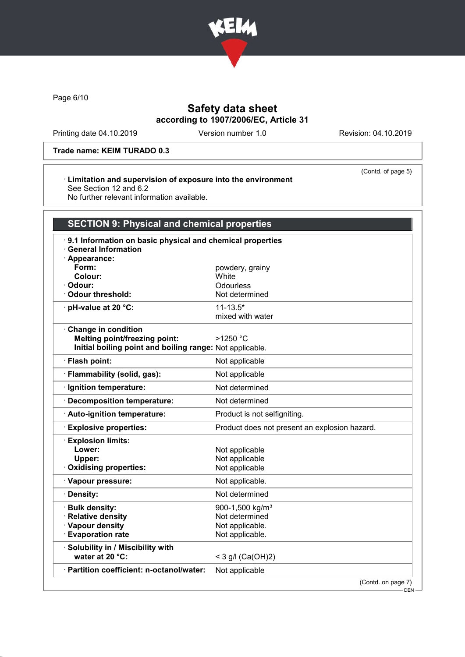

Page 6/10

# Safety data sheet according to 1907/2006/EC, Article 31

Printing date 04.10.2019 Version number 1.0 Revision: 04.10.2019

(Contd. of page 5)

### Trade name: KEIM TURADO 0.3

### · Limitation and supervision of exposure into the environment See Section 12 and 6.2

No further relevant information available.

| <b>SECTION 9: Physical and chemical properties</b>                                      |                                               |  |
|-----------------------------------------------------------------------------------------|-----------------------------------------------|--|
| 9.1 Information on basic physical and chemical properties<br><b>General Information</b> |                                               |  |
| $\cdot$ Appearance:<br>Form:                                                            | powdery, grainy                               |  |
| Colour:                                                                                 | White                                         |  |
| Odour:                                                                                  | Odourless                                     |  |
| <b>Odour threshold:</b>                                                                 | Not determined                                |  |
| pH-value at 20 °C:                                                                      | $11 - 13.5*$                                  |  |
|                                                                                         | mixed with water                              |  |
| Change in condition                                                                     |                                               |  |
| <b>Melting point/freezing point:</b>                                                    | >1250 °C                                      |  |
| Initial boiling point and boiling range: Not applicable.                                |                                               |  |
| · Flash point:                                                                          | Not applicable                                |  |
| · Flammability (solid, gas):                                                            | Not applicable                                |  |
| · Ignition temperature:                                                                 | Not determined                                |  |
| · Decomposition temperature:                                                            | Not determined                                |  |
| · Auto-ignition temperature:                                                            | Product is not selfigniting.                  |  |
| <b>Explosive properties:</b>                                                            | Product does not present an explosion hazard. |  |
| · Explosion limits:<br>Lower:<br>Upper:                                                 | Not applicable<br>Not applicable              |  |
| Oxidising properties:                                                                   | Not applicable                                |  |
| · Vapour pressure:                                                                      | Not applicable.                               |  |
| · Density:                                                                              | Not determined                                |  |
| · Bulk density:                                                                         | 900-1,500 kg/m <sup>3</sup>                   |  |
| · Relative density                                                                      | Not determined                                |  |
| · Vapour density                                                                        | Not applicable.                               |  |
| <b>Evaporation rate</b>                                                                 | Not applicable.                               |  |
| · Solubility in / Miscibility with<br>water at 20 °C:                                   | < 3 g/l (Ca(OH)2)                             |  |
| · Partition coefficient: n-octanol/water:                                               | Not applicable                                |  |
|                                                                                         | (Contd. on page 7)                            |  |

 $-$  DEN -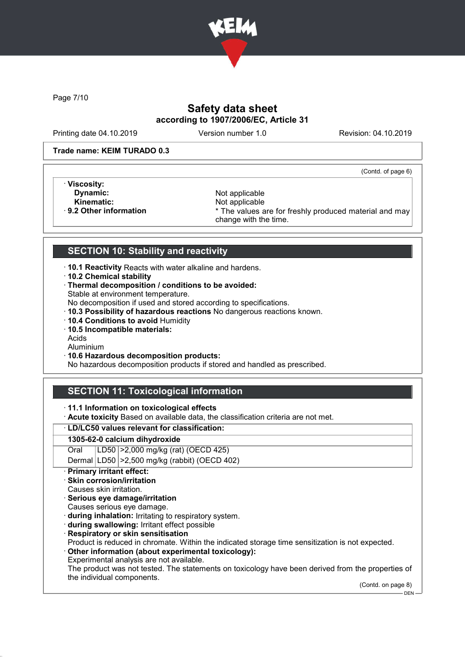

Page 7/10

# Safety data sheet according to 1907/2006/EC, Article 31

Printing date 04.10.2019 Version number 1.0 Revision: 04.10.2019

### Trade name: KEIM TURADO 0.3

(Contd. of page 6)

- · Viscosity:
- 

**Dynamic:** Not applicable Not applicable Not applicable Not applicable Not applicable Not applicable Kinematic: Not applicable<br> **Reduced A Set All Analysis 19 2 Other information**<br> **Reduced A Set All A Set All A Set All A Set All A Set All A Set All A Set All A Set All A Set All A Set All A Set A** \* The values are for freshly produced material and may change with the time.

## SECTION 10: Stability and reactivity

- · 10.1 Reactivity Reacts with water alkaline and hardens.
- · 10.2 Chemical stability
- · Thermal decomposition / conditions to be avoided: Stable at environment temperature.
- No decomposition if used and stored according to specifications.
- · 10.3 Possibility of hazardous reactions No dangerous reactions known.
- · 10.4 Conditions to avoid Humidity
- · 10.5 Incompatible materials:
- Acids
- Aluminium
- · 10.6 Hazardous decomposition products:

No hazardous decomposition products if stored and handled as prescribed.

# SECTION 11: Toxicological information

- · 11.1 Information on toxicological effects
- · Acute toxicity Based on available data, the classification criteria are not met.

### · LD/LC50 values relevant for classification:

### 1305-62-0 calcium dihydroxide

Oral LD50 >2,000 mg/kg (rat) (OECD 425)

Dermal LD50 >2,500 mg/kg (rabbit) (OECD 402)

## Primary irritant effect:

- Skin corrosion/irritation
- Causes skin irritation.
- · Serious eye damage/irritation
- Causes serious eye damage.
- · during inhalation: Irritating to respiratory system.
- · during swallowing: Irritant effect possible
- · Respiratory or skin sensitisation
- Product is reduced in chromate. Within the indicated storage time sensitization is not expected.
- · Other information (about experimental toxicology):
- Experimental analysis are not available.

The product was not tested. The statements on toxicology have been derived from the properties of the individual components.

(Contd. on page 8)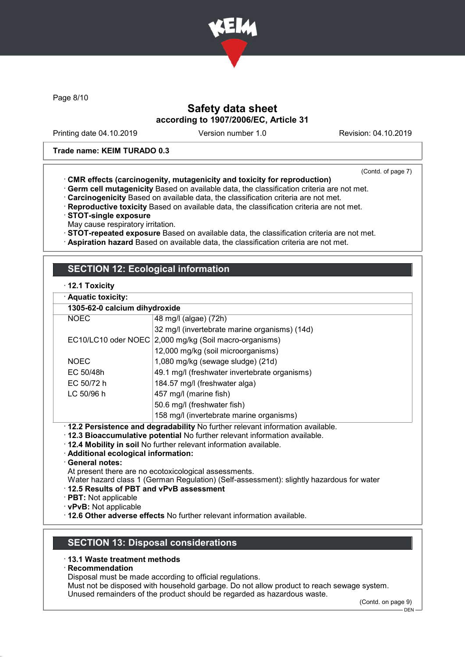

Page 8/10

## Safety data sheet according to 1907/2006/EC, Article 31

Printing date 04.10.2019 Version number 1.0 Revision: 04.10.2019

### Trade name: KEIM TURADO 0.3

(Contd. of page 7)

- · CMR effects (carcinogenity, mutagenicity and toxicity for reproduction)
- · Germ cell mutagenicity Based on available data, the classification criteria are not met.
- · Carcinogenicity Based on available data, the classification criteria are not met.
- · Reproductive toxicity Based on available data, the classification criteria are not met.
- · STOT-single exposure
- May cause respiratory irritation.
- · STOT-repeated exposure Based on available data, the classification criteria are not met.
- · Aspiration hazard Based on available data, the classification criteria are not met.

## SECTION 12: Ecological information

### · 12.1 Toxicity

|  |  | · Aquatic toxicity: |
|--|--|---------------------|

|                                                                                       | 1305-62-0 calcium dihydroxide                          |  |  |
|---------------------------------------------------------------------------------------|--------------------------------------------------------|--|--|
| <b>NOEC</b>                                                                           | 48 mg/l (algae) (72h)                                  |  |  |
|                                                                                       | 32 mg/l (invertebrate marine organisms) (14d)          |  |  |
|                                                                                       | EC10/LC10 oder NOEC 2,000 mg/kg (Soil macro-organisms) |  |  |
|                                                                                       | 12,000 mg/kg (soil microorganisms)                     |  |  |
| <b>NOEC</b>                                                                           | 1,080 mg/kg (sewage sludge) (21d)                      |  |  |
| EC 50/48h                                                                             | 49.1 mg/l (freshwater invertebrate organisms)          |  |  |
| EC 50/72 h<br>184.57 mg/l (freshwater alga)                                           |                                                        |  |  |
| LC 50/96 h<br>457 mg/l (marine fish)                                                  |                                                        |  |  |
|                                                                                       | 50.6 mg/l (freshwater fish)                            |  |  |
|                                                                                       | 158 mg/l (invertebrate marine organisms)               |  |  |
| $\cdot$ 12.2 Persistence and degradability No further relevant information available. |                                                        |  |  |

- · 12.2 Persistence and degradability No further relevant information available.
- · 12.3 Bioaccumulative potential No further relevant information available.
- · 12.4 Mobility in soil No further relevant information available.
- · Additional ecological information:
- · General notes:
- At present there are no ecotoxicological assessments.
- Water hazard class 1 (German Regulation) (Self-assessment): slightly hazardous for water

### · 12.5 Results of PBT and vPvB assessment

· PBT: Not applicable

- · vPvB: Not applicable
- · 12.6 Other adverse effects No further relevant information available.

## SECTION 13: Disposal considerations

### · 13.1 Waste treatment methods

· Recommendation

Disposal must be made according to official regulations.

Must not be disposed with household garbage. Do not allow product to reach sewage system.

Unused remainders of the product should be regarded as hazardous waste.

(Contd. on page 9)

 $-$  DEN -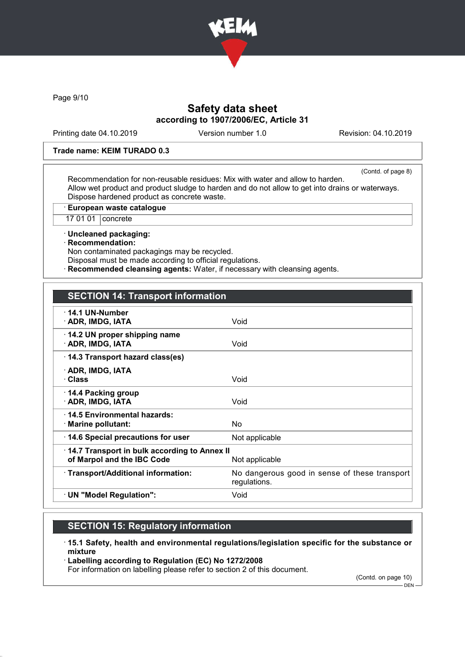

Page 9/10

## Safety data sheet according to 1907/2006/EC, Article 31

Printing date 04.10.2019 Version number 1.0 Revision: 04.10.2019

### Trade name: KEIM TURADO 0.3

(Contd. of page 8)

Recommendation for non-reusable residues: Mix with water and allow to harden. Allow wet product and product sludge to harden and do not allow to get into drains or waterways. Dispose hardened product as concrete waste.

· European waste catalogue

17 01 01 concrete

· Uncleaned packaging:

· Recommendation:

Non contaminated packagings may be recycled. Disposal must be made according to official regulations.

**Recommended cleansing agents:** Water, if necessary with cleansing agents.

| $\cdot$ 14.1 UN-Number<br>· ADR, IMDG, IATA                                | Void                                                          |
|----------------------------------------------------------------------------|---------------------------------------------------------------|
| 14.2 UN proper shipping name<br>· ADR, IMDG, IATA                          | Void                                                          |
| 14.3 Transport hazard class(es)                                            |                                                               |
| · ADR, IMDG, IATA<br>· Class                                               | Void                                                          |
| 14.4 Packing group<br>· ADR, IMDG, IATA                                    | Void                                                          |
| ⋅14.5 Environmental hazards:<br>· Marine pollutant:                        | N <sub>o</sub>                                                |
| 14.6 Special precautions for user                                          | Not applicable                                                |
| 14.7 Transport in bulk according to Annex II<br>of Marpol and the IBC Code | Not applicable                                                |
| · Transport/Additional information:                                        | No dangerous good in sense of these transport<br>regulations. |
| · UN "Model Regulation":                                                   | Void                                                          |
|                                                                            |                                                               |

## SECTION 15: Regulatory information

· 15.1 Safety, health and environmental regulations/legislation specific for the substance or mixture

· Labelling according to Regulation (EC) No 1272/2008

For information on labelling please refer to section 2 of this document.

(Contd. on page 10)

DEN